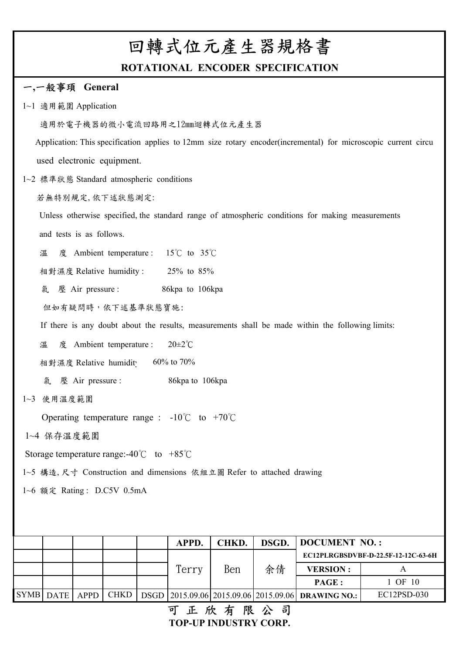# 回轉式位元產生器規格書

### **ROTATIONAL ENCODER SPECIFICATION**

#### 一**,**一般事頊 **General**

- 1~1 適用範圍 Application
	- 適用於電子機器的微小電流回路用之12mm迴轉式位元產生器

 Application: This specification applies to 12mm size rotary encoder(incremental) for microscopic current circu used electronic equipment.

- 1~2 標準狀態 Standard atmospheric conditions
	- 若無特別規定,依下述狀態測定:

 and tests is as follows. Unless otherwise specified, the standard range of atmospheric conditions for making measurements

溫 度 Ambient temperature : 15℃ to 35℃

相對濕度 Relative humidity : 25% to 85%

氣 壓 Air pressure : 86kpa to 106kpa

但如有疑問時,依下述基準狀態寶施:

If there is any doubt about the results, measurements shall be made within the following limits:

溫 度 Ambient temperature : 20±2℃

相對濕度 Relative humidity 60% to 70%

氣 壓 Air pressure : 86kpa to 106kpa

1~3 使用溫度範圍

Operating temperature range : -10℃ to +70℃

1~4 保存溫度範圍

Storage temperature range:-40℃ to +85℃

1~5 構造,尺寸 Construction and dimensions 依組立圖 Refer to attached drawing

1~6 額定 Rating : D.C5V 0.5mA

|           |      |  | <b>APPD.</b> | <b>CHKD.</b> | DSGD. |                                                                   | DOCUMENT NO.:                       |  |  |
|-----------|------|--|--------------|--------------|-------|-------------------------------------------------------------------|-------------------------------------|--|--|
|           |      |  |              |              |       |                                                                   | EC12PLRGBSDVBF-D-22.5F-12-12C-63-6H |  |  |
|           |      |  | Terry        | Ben          | 余倩    | <b>VERSION:</b>                                                   |                                     |  |  |
|           |      |  |              |              |       | <b>PAGE:</b>                                                      | 1 OF 10                             |  |  |
| SYMB DATE | APPD |  |              |              |       | CHKD   DSGD   2015.09.06   2015.09.06   2015.09.06   DRAWING NO.: | EC12PSD-030                         |  |  |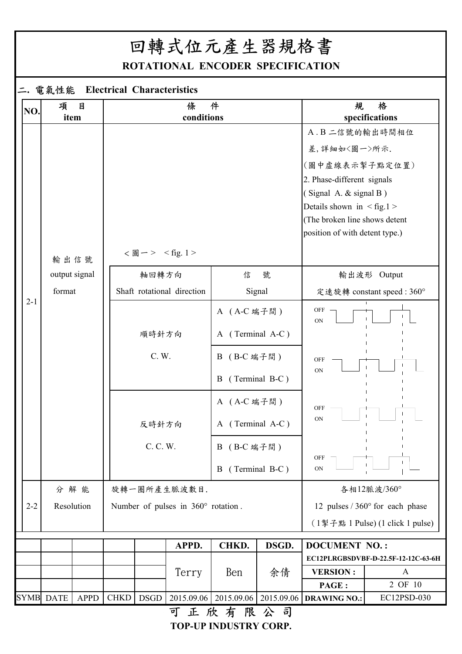# 回轉式位元產生器規格書

**ROTATIONAL ENCODER SPECIFICATION**

### 二**.** 電氣性能 **Electrical Characteristics**

| NO.     | 項                | $\overline{a}$<br>item |             |                                      | 條<br>conditions                    | 件                |                  | 規                                    | 格<br>specifications                     |   |                |  |  |
|---------|------------------|------------------------|-------------|--------------------------------------|------------------------------------|------------------|------------------|--------------------------------------|-----------------------------------------|---|----------------|--|--|
|         |                  |                        |             |                                      |                                    |                  |                  | A. B 二信號的輸出時間相位                      |                                         |   |                |  |  |
|         |                  |                        |             |                                      |                                    |                  |                  |                                      |                                         |   |                |  |  |
|         |                  |                        |             |                                      |                                    |                  |                  | 差,詳細如<圖一>所示.                         |                                         |   |                |  |  |
|         |                  |                        |             |                                      |                                    |                  |                  | (圖中虛線表示掣子點定位置)                       |                                         |   |                |  |  |
|         |                  |                        |             |                                      |                                    |                  |                  | 2. Phase-different signals           |                                         |   |                |  |  |
|         |                  |                        |             |                                      |                                    |                  |                  | (Signal A. & signal B)               |                                         |   |                |  |  |
|         |                  |                        |             |                                      |                                    |                  |                  | Details shown in $\langle$ fig.1 $>$ |                                         |   |                |  |  |
|         |                  |                        |             |                                      |                                    |                  |                  | (The broken line shows detent        |                                         |   |                |  |  |
|         |                  |                        |             |                                      |                                    |                  |                  | position of with detent type.)       |                                         |   |                |  |  |
|         |                  | 輸出信號                   |             | <圖一> <fig.1></fig.1>                 |                                    |                  |                  |                                      |                                         |   |                |  |  |
|         |                  | output signal          |             | 號<br>軸回轉方向<br>信                      |                                    |                  |                  |                                      | 輸出波形 Output                             |   |                |  |  |
|         | format           |                        |             | Shaft rotational direction<br>Signal |                                    |                  |                  |                                      | 定速旋轉 constant speed: 360°               |   |                |  |  |
| $2 - 1$ |                  |                        |             |                                      |                                    | A (A-C 端子間)      |                  | OFF<br><b>ON</b>                     |                                         |   |                |  |  |
|         |                  |                        |             | 順時針方向                                |                                    |                  | A (Terminal A-C) |                                      |                                         |   |                |  |  |
|         |                  |                        |             | C. W.                                | B (B-C 端子間)                        |                  |                  | OFF<br>ON                            |                                         |   |                |  |  |
|         |                  |                        |             |                                      |                                    |                  |                  |                                      |                                         | B | (Terminal B-C) |  |  |
|         |                  |                        |             |                                      |                                    | A (A-C 端子間)      |                  | <b>OFF</b>                           |                                         |   |                |  |  |
|         |                  |                        |             | 反時針方向                                |                                    | A (Terminal A-C) |                  | <b>ON</b>                            |                                         |   |                |  |  |
|         |                  |                        |             | C. C. W.                             |                                    | B (B-C 端子間)      |                  | OFF                                  | $\mathbf{I}$                            |   |                |  |  |
|         |                  |                        |             |                                      |                                    | B                | (Terminal B-C)   | ON                                   |                                         |   |                |  |  |
|         |                  | 分解能                    |             |                                      | 旋轉一圈所產生脈波數目.                       |                  |                  |                                      | 各相12脈波/360°                             |   |                |  |  |
| $2 - 2$ |                  | Resolution             |             |                                      | Number of pulses in 360° rotation. |                  |                  |                                      | 12 pulses $/360^{\circ}$ for each phase |   |                |  |  |
|         |                  |                        |             |                                      |                                    |                  |                  |                                      | (1掣子點 1 Pulse) (1 click 1 pulse)        |   |                |  |  |
|         |                  |                        |             |                                      | APPD.                              | CHKD.            | DSGD.            | <b>DOCUMENT NO.:</b>                 |                                         |   |                |  |  |
|         |                  |                        |             |                                      |                                    |                  |                  |                                      | EC12PLRGBSDVBF-D-22.5F-12-12C-63-6H     |   |                |  |  |
|         |                  |                        |             |                                      | Terry                              | Ben              | 余倩               | <b>VERSION:</b>                      | $\mathbf{A}$                            |   |                |  |  |
|         |                  |                        |             |                                      |                                    |                  |                  | PAGE:                                | 2 OF 10                                 |   |                |  |  |
|         | <b>SYMB DATE</b> | <b>APPD</b>            | <b>CHKD</b> | <b>DSGD</b>                          | 2015.09.06                         | 2015.09.06       | 2015.09.06       | <b>DRAWING NO.:</b>                  | EC12PSD-030                             |   |                |  |  |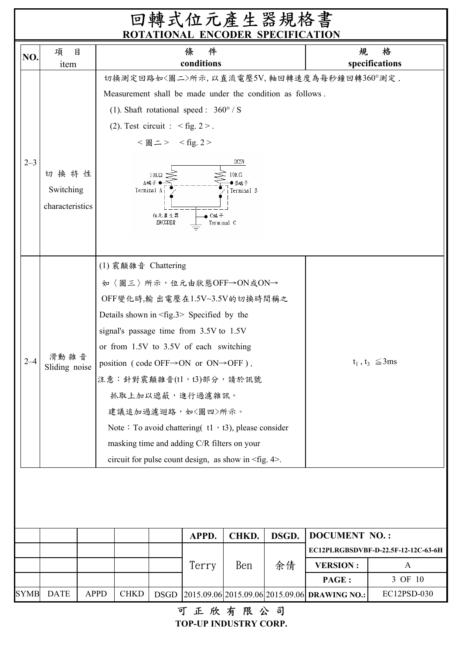|             |                                      |             |                                                              |                                                           | 回轉式位元產生器規格書<br>ROTATIONAL ENCODER SPECIFICATION                                                                                                                                                                                                                                                                                                                                                                                                                                                                       |                                          |             |                                                         |                                                     |
|-------------|--------------------------------------|-------------|--------------------------------------------------------------|-----------------------------------------------------------|-----------------------------------------------------------------------------------------------------------------------------------------------------------------------------------------------------------------------------------------------------------------------------------------------------------------------------------------------------------------------------------------------------------------------------------------------------------------------------------------------------------------------|------------------------------------------|-------------|---------------------------------------------------------|-----------------------------------------------------|
| NO.         | 項<br>目<br>item                       |             |                                                              |                                                           | 件<br>條<br>conditions                                                                                                                                                                                                                                                                                                                                                                                                                                                                                                  |                                          |             | 規                                                       | 格<br>specifications                                 |
| $2 - 3$     | 切换特性<br>Switching<br>characteristics |             | (2). Test circuit : $\langle fig. 2 \rangle$ .<br>Terminal A | < 圖二> < fig. 2><br>$10K\Omega$<br>纵端子<br>位元產生器<br>ENCODER | Measurement shall be made under the condition as follows.<br>(1). Shaft rotational speed : $360^{\circ}$ / S<br>C端子<br>Terminal C                                                                                                                                                                                                                                                                                                                                                                                     | 切换測定回路如<圖二>所示,以直流電壓5V,軸回轉速度為每秒鐘回轉360°測定. |             |                                                         |                                                     |
| $2 - 4$     | 滑動 雜 音<br>Sliding noise              |             | (1) 震顛雜音 Chattering                                          |                                                           | 如〈圖三〉所示,位元由狀態OFF→ON或ON→<br>OFF變化時,輸出電壓在1.5V~3.5V的切換時間稱之<br>Details shown in $\langle$ fig.3> Specified by the<br>signal's passage time from 3.5V to 1.5V<br>or from 1.5V to 3.5V of each switching<br>position (code OFF $\rightarrow$ ON or ON $\rightarrow$ OFF).<br>注意:針對震顛雜音(tl,t3)部分,請於訊號<br>抓取上加以遮蔽,進行過濾雜訊。<br>建議追加過濾迴路,如〈圖四〉所示。<br>Note: To avoid chattering $(1 \cdot 13)$ , please consider<br>masking time and adding C/R filters on your<br>circuit for pulse count design, as show in <fig. 4="">.</fig.> |                                          |             |                                                         | $t_1$ , $t_3 \leq 3$ ms                             |
|             |                                      |             |                                                              |                                                           |                                                                                                                                                                                                                                                                                                                                                                                                                                                                                                                       |                                          |             |                                                         |                                                     |
|             |                                      |             |                                                              |                                                           | APPD.<br>Terry                                                                                                                                                                                                                                                                                                                                                                                                                                                                                                        | CHKD.<br>Ben                             | DSGD.<br>余倩 | <b>DOCUMENT NO.:</b><br><b>VERSION:</b>                 | EC12PLRGBSDVBF-D-22.5F-12-12C-63-6H<br>A<br>3 OF 10 |
| <b>SYMB</b> | <b>DATE</b>                          | <b>APPD</b> | <b>CHKD</b>                                                  | <b>DSGD</b>                                               | 可工的士服八日                                                                                                                                                                                                                                                                                                                                                                                                                                                                                                               |                                          |             | PAGE :<br>2015.09.06 2015.09.06 2015.09.06 DRAWING NO.: | EC12PSD-030                                         |

可正欣有限公司 **TOP-UP INDUSTRY CORP.**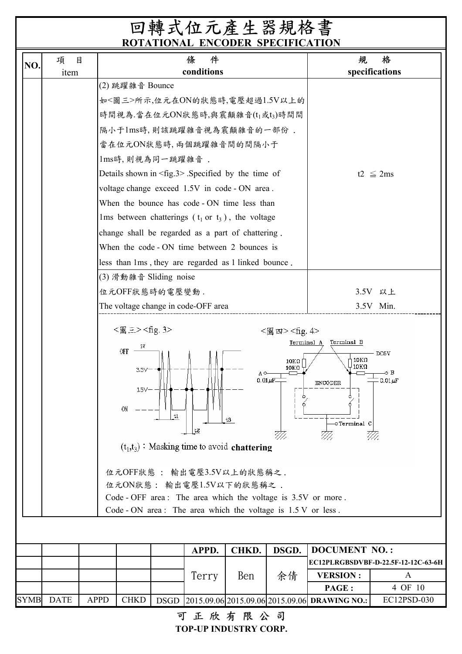|             | $\boxtimes$<br>項 |             |                                                                                           |    | ROTATIONAL ENCODER SPECIFICATION<br>件<br>條                                                                                                                                                                                                                                                                                                                                                                                                                          |                          |                                                                                      | 規                                                                    | 格                                   |
|-------------|------------------|-------------|-------------------------------------------------------------------------------------------|----|---------------------------------------------------------------------------------------------------------------------------------------------------------------------------------------------------------------------------------------------------------------------------------------------------------------------------------------------------------------------------------------------------------------------------------------------------------------------|--------------------------|--------------------------------------------------------------------------------------|----------------------------------------------------------------------|-------------------------------------|
| NO.         |                  |             |                                                                                           |    | conditions                                                                                                                                                                                                                                                                                                                                                                                                                                                          |                          |                                                                                      |                                                                      | specifications                      |
|             | item             |             | (2) 跳躍雜音 Bounce<br>1ms時, 則視為同一跳躍雜音.                                                       |    | 如<圖三>所示,位元在ON的狀態時,電壓超過1.5V以上的<br>時間視為.當在位元ON狀態時,與震顛雜音(t <sub>1</sub> 或t3)時間間<br>隔小于1ms時,則該跳躍雜音視為震顛雜音的一部份.<br>當在位元ON狀態時,兩個跳躍雜音間的間隔小于<br>Details shown in $\langle$ fig.3> . Specified by the time of<br>voltage change exceed 1.5V in code - ON area.<br>When the bounce has code - ON time less than<br>lms between chatterings $(t_1$ or $t_3$ ), the voltage<br>change shall be regarded as a part of chattering.<br>When the code - ON time between 2 bounces is |                          |                                                                                      |                                                                      | t2 $\leq$ 2ms                       |
|             |                  |             |                                                                                           |    | less than 1ms, they are regarded as 1 linked bounce.                                                                                                                                                                                                                                                                                                                                                                                                                |                          |                                                                                      |                                                                      |                                     |
|             |                  |             | (3) 滑動雜音 Sliding noise<br>位元OFF狀態時的電壓變動.                                                  |    | The voltage change in code-OFF area                                                                                                                                                                                                                                                                                                                                                                                                                                 |                          |                                                                                      |                                                                      | 3.5V 以上<br>3.5V Min.                |
|             |                  |             | <圖三> <fig.3><br/>5Y<br/>OFF<br/><math>3.5V -</math><br/><math>1.5 -</math><br/>ON</fig.3> | t1 | t2<br>$(t_1,t_2)$ : Masking time to avoid chattering                                                                                                                                                                                                                                                                                                                                                                                                                | ΑO<br>$0.01 \mu$ F<br>t3 | <圖 四> <fig. 4=""><br/>Terminal A<br/><math>10\mathrm{K}\Omega</math><br/>10ΚΩ</fig.> | Terminal B<br>10ΚΩ<br>$10K\Omega$<br><b>ENCODER</b><br>-o Terminal C | DC5V<br>-o B<br>$0.01 \mu F$        |
|             |                  |             |                                                                                           |    | 位元OFF狀態: 輸出電壓3.5V以上的狀態稱之.<br>位元ON狀態: 輸出電壓1.5V以下的狀態稱之.<br>Code - OFF area: The area which the voltage is 3.5V or more.<br>Code - ON area: The area which the voltage is $1.5 \text{ V}$ or less.                                                                                                                                                                                                                                                                     |                          |                                                                                      |                                                                      |                                     |
|             |                  |             |                                                                                           |    | APPD.                                                                                                                                                                                                                                                                                                                                                                                                                                                               | CHKD.                    | DSGD.                                                                                | <b>DOCUMENT NO.:</b>                                                 |                                     |
|             |                  |             |                                                                                           |    |                                                                                                                                                                                                                                                                                                                                                                                                                                                                     |                          |                                                                                      |                                                                      | EC12PLRGBSDVBF-D-22.5F-12-12C-63-6H |
|             |                  |             |                                                                                           |    | Terry                                                                                                                                                                                                                                                                                                                                                                                                                                                               | Ben                      | 余倩                                                                                   | <b>VERSION:</b>                                                      | A                                   |
|             |                  |             |                                                                                           |    |                                                                                                                                                                                                                                                                                                                                                                                                                                                                     |                          |                                                                                      | PAGE:                                                                | 4 OF 10                             |
| <b>SYMB</b> | <b>DATE</b>      | <b>APPD</b> | <b>CHKD</b>                                                                               |    |                                                                                                                                                                                                                                                                                                                                                                                                                                                                     |                          |                                                                                      | DSGD 2015.09.06 2015.09.06 2015.09.06 DRAWING NO.:                   | EC12PSD-030                         |

可正欣有限公司

**TOP-UP INDUSTRY CORP.**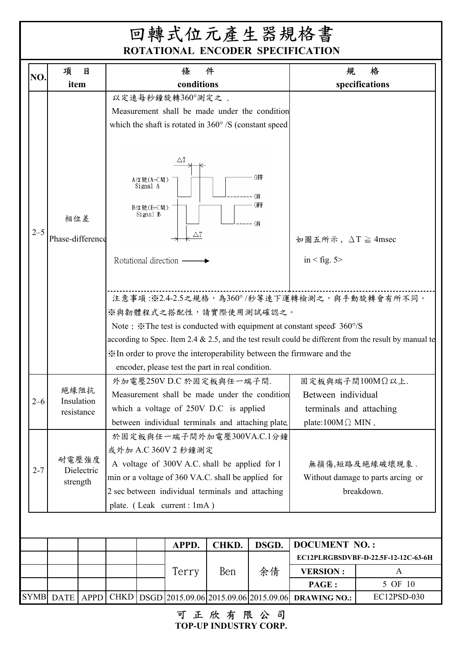| NO.     | 項                                                                                                                                                                                                                                                                                                   | 目                  |  |                                                | 條                                                                                                                                   | 件     |                                                                                              | 規                                                                                                                                                                     | 格                                                                                                                                                         |
|---------|-----------------------------------------------------------------------------------------------------------------------------------------------------------------------------------------------------------------------------------------------------------------------------------------------------|--------------------|--|------------------------------------------------|-------------------------------------------------------------------------------------------------------------------------------------|-------|----------------------------------------------------------------------------------------------|-----------------------------------------------------------------------------------------------------------------------------------------------------------------------|-----------------------------------------------------------------------------------------------------------------------------------------------------------|
|         | item                                                                                                                                                                                                                                                                                                |                    |  |                                                | conditions                                                                                                                          |       |                                                                                              |                                                                                                                                                                       | specifications                                                                                                                                            |
|         |                                                                                                                                                                                                                                                                                                     |                    |  |                                                | 以定速每秒鐘旋轉360°測定之.<br>Measurement shall be made under the condition<br>which the shaft is rotated in $360^{\circ}$ /S (constant speed |       |                                                                                              |                                                                                                                                                                       |                                                                                                                                                           |
| $2 - 5$ | 相位差<br>Phase-difference                                                                                                                                                                                                                                                                             |                    |  | A信號(A-C間)<br>Signal A<br>B信號(B-C間)<br>Signal B | ΔT<br>ΔT                                                                                                                            |       | OFF<br>ON<br>OFF<br>-- ON                                                                    | 如圖五所示, $\Delta T \geq 4$ msec                                                                                                                                         |                                                                                                                                                           |
|         |                                                                                                                                                                                                                                                                                                     |                    |  | Rotational direction -                         | ※與韌體程式之搭配性,請實際使用測試確認之。<br>encoder, please test the part in real condition.                                                          |       |                                                                                              | in $\le$ fig. 5 $>$<br>Note: *The test is conducted with equipment at constant speed: 360°/S<br>X In order to prove the interoperability between the firmware and the | 注意事項:※2.4-2.5之規格,為360°/秒等速下運轉檢測之,與手動旋轉會有所不同。<br>according to Spec. Item 2.4 $\&$ 2.5, and the test result could be different from the result by manual te |
| $2 - 6$ | resistance                                                                                                                                                                                                                                                                                          | 絕緣阻抗<br>Insulation |  |                                                | 外加電壓250VD.C 於固定板與任一端子間.<br>Measurement shall be made under the condition<br>which a voltage of 250V D.C is applied                  |       | 固定板與端子間100MΩ以上.<br>Between individual<br>terminals and attaching<br>plate:100M $\Omega$ MIN. |                                                                                                                                                                       |                                                                                                                                                           |
| $2 - 7$ | between individual terminals and attaching plate.<br>於固定板與任一端子間外加電壓300VA.C.1分鐘<br>或外加 A.C 360V 2 秒鐘測定<br>耐電壓強度<br>A voltage of 300V A.C. shall be applied for 1<br>Dielectric<br>min or a voltage of 360 VA.C. shall be applied for<br>strength<br>2 sec between individual terminals and attaching |                    |  |                                                |                                                                                                                                     |       |                                                                                              |                                                                                                                                                                       | 無損傷,短路及絕緣破壞現象.<br>Without damage to parts arcing or<br>breakdown.                                                                                         |
|         | plate. (Leak current: 1mA)                                                                                                                                                                                                                                                                          |                    |  |                                                |                                                                                                                                     |       |                                                                                              |                                                                                                                                                                       |                                                                                                                                                           |
|         |                                                                                                                                                                                                                                                                                                     |                    |  |                                                | APPD.                                                                                                                               | CHKD. | DSGD.                                                                                        | <b>DOCUMENT NO.:</b>                                                                                                                                                  |                                                                                                                                                           |
|         |                                                                                                                                                                                                                                                                                                     |                    |  |                                                |                                                                                                                                     |       |                                                                                              |                                                                                                                                                                       | EC12PLRGBSDVBF-D-22.5F-12-12C-63-6H                                                                                                                       |
|         |                                                                                                                                                                                                                                                                                                     |                    |  |                                                | Terry                                                                                                                               | Ben   | 余倩                                                                                           | <b>VERSION:</b>                                                                                                                                                       | A                                                                                                                                                         |
|         |                                                                                                                                                                                                                                                                                                     |                    |  |                                                |                                                                                                                                     |       |                                                                                              | PAGE :                                                                                                                                                                | 5 OF 10                                                                                                                                                   |

**TOP-UP INDUSTRY CORP.** 可正欣有限公司

SYMB DATE | APPD | CHKD | DSGD | 2015.09.06 | 2015.09.06 | 2015.09.06 | **DRAWING NO.:** | EC12PSD-030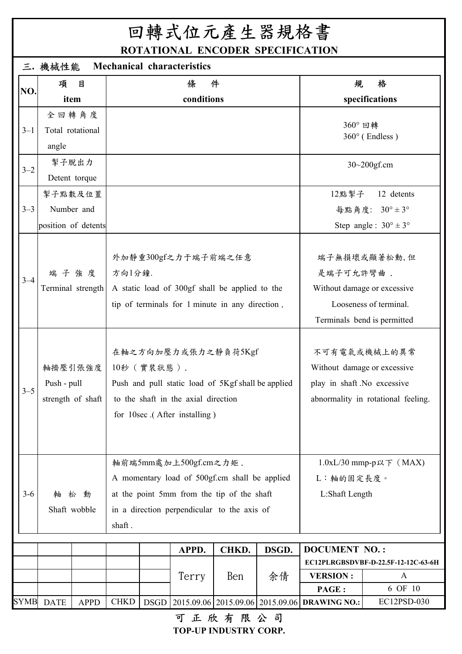# 回轉式位元產生器規格書

**ROTATIONAL ENCODER SPECIFICATION**

|             | <b>Mechanical characteristics</b><br>三. 機械性能 |                                              |             |            |                                                                     |                                                                                                                                            |                             |                                                                      |                                                                                                      |  |  |  |
|-------------|----------------------------------------------|----------------------------------------------|-------------|------------|---------------------------------------------------------------------|--------------------------------------------------------------------------------------------------------------------------------------------|-----------------------------|----------------------------------------------------------------------|------------------------------------------------------------------------------------------------------|--|--|--|
| NO.         | 項                                            | 目                                            |             |            | 條                                                                   | 件                                                                                                                                          |                             | 規                                                                    | 格                                                                                                    |  |  |  |
|             |                                              | item                                         |             |            | conditions                                                          |                                                                                                                                            |                             |                                                                      | specifications                                                                                       |  |  |  |
| $3 - 1$     | angle                                        | 全回轉角度<br>Total rotational                    |             |            |                                                                     |                                                                                                                                            |                             | 360° 回轉                                                              | $360^\circ$ (Endless)                                                                                |  |  |  |
| $3 - 2$     | 掣子脫出力                                        | Detent torque                                |             |            |                                                                     |                                                                                                                                            |                             | $30 - 200$ gf.cm                                                     |                                                                                                      |  |  |  |
| $3 - 3$     |                                              | 掣子點數及位置<br>Number and<br>position of detents |             |            |                                                                     |                                                                                                                                            | 12點掣子                       | 12 detents<br>每點角度: 30°±3°<br>Step angle: $30^{\circ} \pm 3^{\circ}$ |                                                                                                      |  |  |  |
| $3 - 4$     |                                              | 端子強度<br>Terminal strength                    | 方向1分鐘.      |            | 外加靜重300gf之力于端子前端之任意                                                 | A static load of 300gf shall be applied to the<br>tip of terminals for 1 minute in any direction.                                          |                             | 是端子可允許彎曲.                                                            | 端子無損壞或顯著松動,但<br>Without damage or excessive<br>Looseness of terminal.<br>Terminals bend is permitted |  |  |  |
| $3 - 5$     | Push - pull                                  | 軸擠壓引張強度<br>strength of shaft                 |             | 10秒(實裝狀態). | to the shaft in the axial direction<br>for 10sec (After installing) | 在軸之方向加壓力或張力之靜負荷5Kgf<br>Push and pull static load of 5Kgf shall be applied                                                                  |                             | play in shaft .No excessive                                          | 不可有電氣或機械上的異常<br>Without damage or excessive<br>abnormality in rotational feeling.                    |  |  |  |
| $3 - 6$     | 軸                                            | 松 動<br>Shaft wobble                          | shaft.      |            | 軸前端5mm處加上500gf.cm之力矩.                                               | A momentary load of 500gf.cm shall be applied<br>at the point 5mm from the tip of the shaft<br>in a direction perpendicular to the axis of | L:軸的固定長度。<br>L:Shaft Length | $1.0xL/30$ mmp-p以下 (MAX)                                             |                                                                                                      |  |  |  |
|             |                                              |                                              |             |            | APPD.<br>Terry                                                      | CHKD.<br>Ben                                                                                                                               | DSGD.<br>余倩                 | <b>DOCUMENT NO.:</b><br><b>VERSION:</b>                              | EC12PLRGBSDVBF-D-22.5F-12-12C-63-6H<br>A                                                             |  |  |  |
|             |                                              |                                              |             |            |                                                                     |                                                                                                                                            |                             | PAGE:                                                                | 6 OF 10                                                                                              |  |  |  |
| <b>SYMB</b> | <b>DATE</b>                                  | <b>APPD</b>                                  | <b>CHKD</b> |            |                                                                     |                                                                                                                                            |                             | DSGD 2015.09.06 2015.09.06 2015.09.06 DRAWING NO.:                   | EC12PSD-030                                                                                          |  |  |  |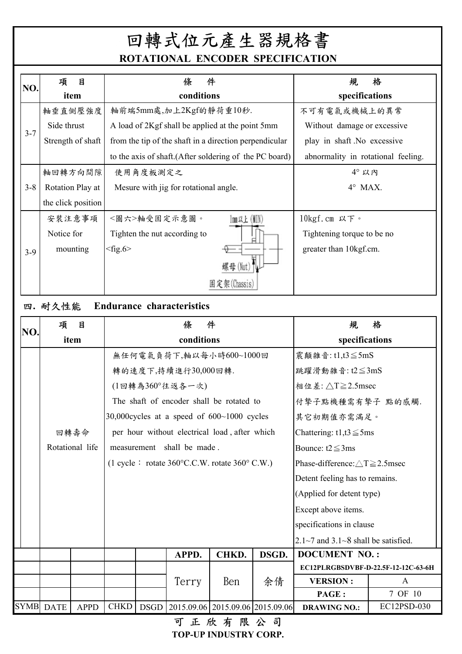| NO.     | 項<br>目             | 件<br>條                                                  | 格<br>規                             |
|---------|--------------------|---------------------------------------------------------|------------------------------------|
|         | item               | conditions                                              | specifications                     |
|         | 軸垂直側壓強度            | 軸前端5mm處,加上2Kgf的靜荷重10秒.                                  | 不可有電氣或機械上的異常                       |
| $3 - 7$ | Side thrust        | A load of 2Kgf shall be applied at the point 5mm        | Without damage or excessive        |
|         | Strength of shaft  | from the tip of the shaft in a direction perpendicular  | play in shaft No excessive         |
|         |                    | to the axis of shaft. (After soldering of the PC board) | abnormality in rotational feeling. |
|         | 軸回轉方向間隙            | 使用角度板測定之                                                | $4^\circ$ 以内                       |
| $3 - 8$ | Rotation Play at   | Mesure with jig for rotational angle.                   | $4^\circ$ MAX.                     |
|         | the click position |                                                         |                                    |
|         | 安裝注意事項             | $lm$ & $k$ (KIN)<br><圖六>軸受固定示意圖。                        | 10kgf.cm 以下。                       |
|         | Notice for         | Tighten the nut according to                            | Tightening torque to be no         |
| $3-9$   | mounting           | $<$ fig.6>                                              | greater than 10kgf.cm.             |
|         |                    | 螺母(Nut)                                                 |                                    |
|         |                    | 固定架(Chassis)                                            |                                    |

## 四**.** 耐久性能 **Endurance characteristics**

| NO.         | 項           | 目               |             |             | 條                                                                                                       | 件     |                                | 規                                                 | 格           |  |
|-------------|-------------|-----------------|-------------|-------------|---------------------------------------------------------------------------------------------------------|-------|--------------------------------|---------------------------------------------------|-------------|--|
|             |             | item            |             |             | conditions                                                                                              |       |                                | specifications                                    |             |  |
|             |             |                 |             |             | 無任何電氣負荷下,軸以每小時600~1000回                                                                                 |       |                                | 震顛雜音: t1,t3≦5mS                                   |             |  |
|             |             |                 |             |             | 轉的速度下,持續進行30,000回轉.                                                                                     |       |                                | 跳躍滑動雜音: t2≦3mS                                    |             |  |
|             |             |                 |             |             | (1回轉為360°往返各一次)                                                                                         |       | 相位差: △T≧2.5msec                |                                                   |             |  |
|             |             |                 |             |             | The shaft of encoder shall be rotated to                                                                |       | 付摯子點機種需有摯子 點的感觸.               |                                                   |             |  |
|             |             |                 |             |             | 30,000 cycles at a speed of $600~1000$ cycles                                                           |       |                                | 其它初期值亦需滿足。                                        |             |  |
|             |             | 回轉壽命            |             |             | per hour without electrical load, after which                                                           |       |                                | Chattering: t1,t3 $\leq$ 5ms                      |             |  |
|             |             | Rotational life |             |             | measurement shall be made.                                                                              |       |                                | Bounce: $t2 \leq 3$ ms                            |             |  |
|             |             |                 |             |             | $(1 \text{ cycle}: \text{ rotate } 360^{\circ} \text{C.C.W.} \text{ rotate } 360^{\circ} \text{ C.W.})$ |       |                                | Phase-difference: $\triangle T \ge 2.5$ msec      |             |  |
|             |             |                 |             |             |                                                                                                         |       | Detent feeling has to remains. |                                                   |             |  |
|             |             |                 |             |             |                                                                                                         |       |                                | (Applied for detent type)                         |             |  |
|             |             |                 |             |             |                                                                                                         |       |                                | Except above items.                               |             |  |
|             |             |                 |             |             |                                                                                                         |       |                                | specifications in clause                          |             |  |
|             |             |                 |             |             |                                                                                                         |       |                                | $2.1 \sim 7$ and $3.1 \sim 8$ shall be satisfied. |             |  |
|             |             |                 |             |             | APPD.                                                                                                   | CHKD. | DSGD.                          | <b>DOCUMENT NO.:</b>                              |             |  |
|             |             |                 |             |             |                                                                                                         |       |                                | EC12PLRGBSDVBF-D-22.5F-12-12C-63-6H               |             |  |
|             |             |                 |             |             | Terry                                                                                                   | Ben   | 余倩                             | <b>VERSION:</b>                                   | A           |  |
|             |             |                 |             |             |                                                                                                         |       |                                | PAGE:                                             | 7 OF 10     |  |
| <b>SYMB</b> | <b>DATE</b> | <b>APPD</b>     | <b>CHKD</b> | <b>DSGD</b> | 2015.09.06 2015.09.06 2015.09.06                                                                        |       |                                | <b>DRAWING NO.:</b>                               | EC12PSD-030 |  |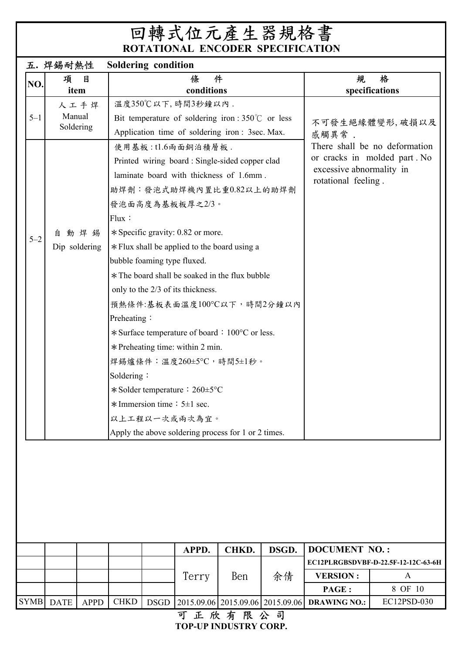|             | 五. 焊錫耐熱性                   | <b>Soldering condition</b> |             |                                                                                                                                            |                                                           |                                                 |                                                               |                                     |
|-------------|----------------------------|----------------------------|-------------|--------------------------------------------------------------------------------------------------------------------------------------------|-----------------------------------------------------------|-------------------------------------------------|---------------------------------------------------------------|-------------------------------------|
| NO.         | 目<br>項                     |                            |             | 條                                                                                                                                          | 件                                                         |                                                 | 規                                                             | 格                                   |
|             | item                       |                            |             | conditions                                                                                                                                 |                                                           |                                                 |                                                               | specifications                      |
|             | 人工手焊                       |                            |             | 溫度350℃以下,時間3秒鐘以內.                                                                                                                          |                                                           |                                                 |                                                               |                                     |
| $5 - 1$     | Manual                     |                            |             |                                                                                                                                            | Bit temperature of soldering iron : $350^{\circ}$ or less |                                                 |                                                               | 不可發生絕緣體變形,破損以及                      |
|             | Soldering                  |                            |             |                                                                                                                                            | Application time of soldering iron: 3sec. Max.            |                                                 | 感觸異常.                                                         |                                     |
|             |                            |                            |             | 使用基板:tl.6兩面銅泊積層板.<br>Printed wiring board: Single-sided copper clad<br>laminate board with thickness of 1.6mm.<br>助焊劑:發泡式助焊機內置比重0.82以上的助焊劑 |                                                           | excessive abnormality in<br>rotational feeling. | There shall be no deformation<br>or cracks in molded part. No |                                     |
|             |                            | 發泡面高度為基板板厚之2/3。            |             |                                                                                                                                            |                                                           |                                                 |                                                               |                                     |
|             |                            | Flux:                      |             |                                                                                                                                            |                                                           |                                                 |                                                               |                                     |
| $5 - 2$     | 動焊錫<br>自                   |                            |             | * Specific gravity: 0.82 or more.                                                                                                          |                                                           |                                                 |                                                               |                                     |
|             | Dip soldering              |                            |             |                                                                                                                                            | * Flux shall be applied to the board using a              |                                                 |                                                               |                                     |
|             |                            |                            |             | bubble foaming type fluxed.                                                                                                                |                                                           |                                                 |                                                               |                                     |
|             |                            |                            |             |                                                                                                                                            | * The board shall be soaked in the flux bubble            |                                                 |                                                               |                                     |
|             |                            |                            |             | only to the 2/3 of its thickness.                                                                                                          |                                                           |                                                 |                                                               |                                     |
|             |                            |                            |             |                                                                                                                                            | 預熱條件:基板表面溫度100°C以下,時間2分鐘以內                                |                                                 |                                                               |                                     |
|             |                            | Preheating:                |             |                                                                                                                                            |                                                           |                                                 |                                                               |                                     |
|             |                            |                            |             |                                                                                                                                            | * Surface temperature of board : 100°C or less.           |                                                 |                                                               |                                     |
|             |                            |                            |             | $*$ Preheating time: within 2 min.                                                                                                         |                                                           |                                                 |                                                               |                                     |
|             |                            |                            |             |                                                                                                                                            | 焊錫爐條件:溫度260±5°C,時間5±1秒。                                   |                                                 |                                                               |                                     |
|             |                            | Soldering:                 |             |                                                                                                                                            |                                                           |                                                 |                                                               |                                     |
|             |                            |                            |             | $\ast$ Solder temperature : 260±5°C                                                                                                        |                                                           |                                                 |                                                               |                                     |
|             |                            |                            |             | $*$ Immersion time : 5±1 sec.                                                                                                              |                                                           |                                                 |                                                               |                                     |
|             |                            |                            |             | 以上工程以一次或雨次為宜。                                                                                                                              |                                                           |                                                 |                                                               |                                     |
|             |                            |                            |             |                                                                                                                                            | Apply the above soldering process for 1 or 2 times.       |                                                 |                                                               |                                     |
|             |                            |                            |             |                                                                                                                                            |                                                           |                                                 |                                                               |                                     |
|             |                            |                            |             | APPD.                                                                                                                                      | CHKD.                                                     | DSGD.                                           | <b>DOCUMENT NO.:</b>                                          |                                     |
|             |                            |                            |             |                                                                                                                                            |                                                           |                                                 |                                                               | EC12PLRGBSDVBF-D-22.5F-12-12C-63-6H |
|             |                            |                            |             | Terry                                                                                                                                      | Ben                                                       | 余倩                                              | <b>VERSION:</b>                                               | $\mathbf{A}$                        |
|             |                            |                            |             |                                                                                                                                            |                                                           |                                                 | PAGE :                                                        | 8 OF 10                             |
| <b>SYMB</b> | <b>DATE</b><br><b>APPD</b> | <b>CHKD</b>                | <b>DSGD</b> |                                                                                                                                            | 2015.09.06 2015.09.06 2015.09.06                          |                                                 | <b>DRAWING NO.:</b>                                           | EC12PSD-030                         |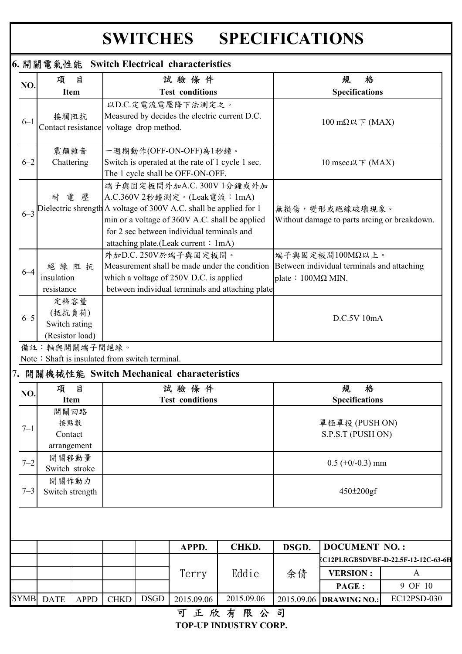# **SWITCHES SPECIFICATIONS**

| 6. 開關電氣性能 Switch Electrical characteristics |                                                                                  |  |                                                                                                                                                                                                  |                                                                                                   |                           |                                                               |                                                     |
|---------------------------------------------|----------------------------------------------------------------------------------|--|--------------------------------------------------------------------------------------------------------------------------------------------------------------------------------------------------|---------------------------------------------------------------------------------------------------|---------------------------|---------------------------------------------------------------|-----------------------------------------------------|
| NO.                                         | 目<br>項                                                                           |  | 試驗條件                                                                                                                                                                                             |                                                                                                   |                           | 格<br>規                                                        |                                                     |
|                                             | <b>Item</b>                                                                      |  | <b>Test conditions</b>                                                                                                                                                                           |                                                                                                   |                           | <b>Specifications</b>                                         |                                                     |
| $6 - 1$                                     | 接觸阻抗<br>Contact resistance voltage drop method.                                  |  | 以D.C.定電流電壓降下法測定之。<br>Measured by decides the electric current D.C.                                                                                                                               |                                                                                                   |                           | $100$ mΩ以下 (MAX)                                              |                                                     |
| $6 - 2$                                     | 震顛雜音<br>Chattering                                                               |  | 一週期動作(OFF-ON-OFF)為1秒鐘。<br>Switch is operated at the rate of 1 cycle 1 sec.<br>The 1 cycle shall be OFF-ON-OFF.                                                                                   |                                                                                                   |                           | 10 msec以下 (MAX)                                               |                                                     |
| $6 - 3$                                     | 電<br>耐<br>壓<br>Dielectric shrength A voltage of 300V A.C. shall be applied for 1 |  | 端子與固定板間外加A.C. 300V 1分鐘或外加<br>A.C.360V 2秒鐘測定。(Leak電流: 1mA)<br>min or a voltage of 360V A.C. shall be applied<br>for 2 sec between individual terminals and<br>attaching plate.(Leak current: 1mA) | 無損傷,變形或絕緣破壞現象。<br>Without damage to parts arcing or breakdown.                                    |                           |                                                               |                                                     |
| $6 - 4$                                     | 絕緣阻抗<br>insulation<br>resistance                                                 |  | 外加D.C. 250V於端子與固定板間。<br>which a voltage of 250V D.C. is applied                                                                                                                                  | Measurement shall be made under the condition<br>between individual terminals and attaching plate | plate : $100M\Omega$ MIN. | 端子與固定板間100MΩ以上。<br>Between individual terminals and attaching |                                                     |
|                                             | 定格容量<br>(抵抗負荷)                                                                   |  |                                                                                                                                                                                                  |                                                                                                   |                           | D.C.5V 10mA                                                   |                                                     |
| $6 - 5$                                     | Switch rating<br>(Resistor load)                                                 |  |                                                                                                                                                                                                  |                                                                                                   |                           |                                                               |                                                     |
|                                             | 備註:軸與開關端子間絕緣。                                                                    |  |                                                                                                                                                                                                  |                                                                                                   |                           |                                                               |                                                     |
|                                             | Note: Shaft is insulated from switch terminal.                                   |  |                                                                                                                                                                                                  |                                                                                                   |                           |                                                               |                                                     |
|                                             | 7. 開關機械性能 Switch Mechanical characteristics                                      |  |                                                                                                                                                                                                  |                                                                                                   |                           |                                                               |                                                     |
| NO.                                         | 項<br>目                                                                           |  | 試驗條件                                                                                                                                                                                             |                                                                                                   |                           | 格<br>規                                                        |                                                     |
| $7 - 1$                                     | <b>Item</b><br>開關回路<br>接點數<br>Contact                                            |  | <b>Test conditions</b>                                                                                                                                                                           |                                                                                                   |                           | <b>Specifications</b><br>單極單投 (PUSH ON)<br>S.P.S.T (PUSH ON)  |                                                     |
| $7 - 2$                                     | arrangement<br>開關移動量<br>Switch stroke                                            |  |                                                                                                                                                                                                  |                                                                                                   |                           | $0.5$ (+0/-0.3) mm                                            |                                                     |
|                                             | 開關作動力<br>Switch strength                                                         |  |                                                                                                                                                                                                  |                                                                                                   |                           | $450 \pm 200 \text{gf}$                                       |                                                     |
| $7 - 3$                                     |                                                                                  |  |                                                                                                                                                                                                  |                                                                                                   |                           |                                                               |                                                     |
|                                             |                                                                                  |  | APPD.                                                                                                                                                                                            | CHKD.                                                                                             | DSGD.                     | <b>DOCUMENT NO.:</b>                                          |                                                     |
|                                             |                                                                                  |  |                                                                                                                                                                                                  |                                                                                                   |                           |                                                               |                                                     |
|                                             |                                                                                  |  | Terry                                                                                                                                                                                            | Eddie                                                                                             | 余倩                        | <b>VERSION:</b>                                               | CC12PLRGBSDVBF-D-22.5F-12-12C-63-6H<br>$\mathbf{A}$ |
|                                             |                                                                                  |  |                                                                                                                                                                                                  |                                                                                                   |                           | PAGE:                                                         | 9 OF 10                                             |

可正欣有限公司 **TOP-UP INDUSTRY CORP.**